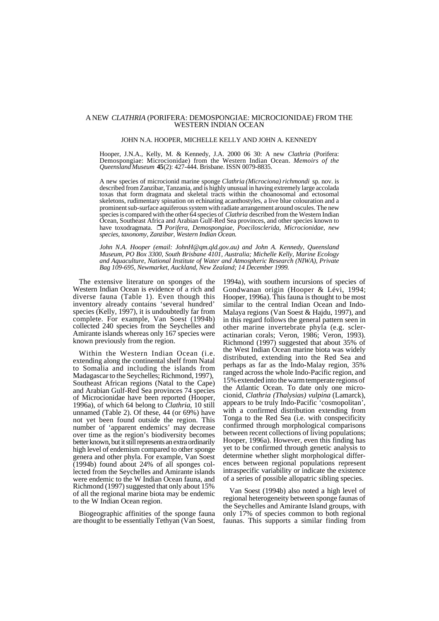## A NEW *CLATHRIA* (PORIFERA: DEMOSPONGIAE: MICROCIONIDAE) FROM THE WESTERN INDIAN OCEAN

## JOHN N.A. HOOPER, MICHELLE KELLY AND JOHN A. KENNEDY

Hooper, J.N.A., Kelly, M. & Kennedy, J.A. 2000 06 30: A new *Clathria* (Porifera: Demospongiae: Microcionidae) from the Western Indian Ocean. *Memoirs of the Queensland Museum* **45**(2): 427-444. Brisbane. ISSN 0079-8835.

A new species of microcionid marine sponge *Clathria (Microciona) richmondi* sp. nov. is described from Zanzibar, Tanzania, and is highly unusual in having extremely large accolada toxas that form dragmata and skeletal tracts within the choanosomal and ectosomal skeletons, rudimentary spination on echinating acanthostyles, a live blue colouration and a prominent sub-surface aquiferous system with radiate arrangement around oscules. The new species is compared with the other 64 species of *Clathria* described from the Western Indian Ocean, Southeast Africa and Arabian Gulf-Red Sea provinces, and other species known to have toxodragmata.  $\Box$  *Porifera, Demospongiae, Poecilosclerida, Microcionidae, new species, taxonomy, Zanzibar, Western Indian Ocean.*

*John N.A. Hooper (email: JohnH@qm.qld.gov.au) and John A. Kennedy, Queensland Museum, PO Box 3300, South Brisbane 4101, Australia; Michelle Kelly, Marine Ecology and Aquaculture, National Institute of Water and Atmospheric Research (NIWA), Private Bag 109-695, Newmarket, Auckland, New Zealand; 14 December 1999.*

The extensive literature on sponges of the Western Indian Ocean is evidence of a rich and diverse fauna (Table 1). Even though this inventory already contains 'several hundred' species (Kelly, 1997), it is undoubtedly far from complete. For example, Van Soest (1994b) collected 240 species from the Seychelles and Amirante islands whereas only 167 species were known previously from the region.

Within the Western Indian Ocean (i.e. extending along the continental shelf from Natal to Somalia and including the islands from Madagascar to the Seychelles; Richmond, 1997), Southeast African regions (Natal to the Cape) and Arabian Gulf-Red Sea provinces 74 species of Microcionidae have been reported (Hooper, 1996a), of which 64 belong to *Clathria*, 10 still unnamed (Table 2). Of these, 44 (or 69%) have not yet been found outside the region. This number of 'apparent endemics' may decrease over time as the region's biodiversity becomes better known, but it still represents an extra ordinarily high level of endemism compared to other sponge genera and other phyla. For example, Van Soest (1994b) found about 24% of all sponges collected from the Seychelles and Amirante islands were endemic to the W Indian Ocean fauna, and Richmond (1997) suggested that only about 15% of all the regional marine biota may be endemic to the W Indian Ocean region.

Biogeographic affinities of the sponge fauna are thought to be essentially Tethyan (Van Soest,

1994a), with southern incursions of species of Gondwanan origin (Hooper & Lévi, 1994; Hooper, 1996a). This fauna is thought to be most similar to the central Indian Ocean and Indo- Malaya regions (Van Soest & Hajdu, 1997), and in this regard follows the general pattern seen in other marine invertebrate phyla (e.g. scleractinarian corals; Veron, 1986; Veron, 1993). Richmond (1997) suggested that about 35% of the West Indian Ocean marine biota was widely distributed, extending into the Red Sea and perhaps as far as the Indo-Malay region, 35% ranged across the whole Indo-Pacific region, and 15% extended into the warm temperate regions of the Atlantic Ocean. To date only one microcionid, *Clathria (Thalysias) vulpina* (Lamarck), appears to be truly Indo-Pacific 'cosmopolitan', with a confirmed distribution extending from Tonga to the Red Sea (i.e. with conspecificity confirmed through morphological comparisons between recent collections of living populations; Hooper, 1996a). However, even this finding has yet to be confirmed through genetic analysis to determine whether slight morphological differences between regional populations represent intraspecific variability or indicate the existence of a series of possible allopatric sibling species.

Van Soest (1994b) also noted a high level of regional heterogeneity between sponge faunas of the Seychelles and Amirante Island groups, with only 17% of species common to both regional faunas. This supports a similar finding from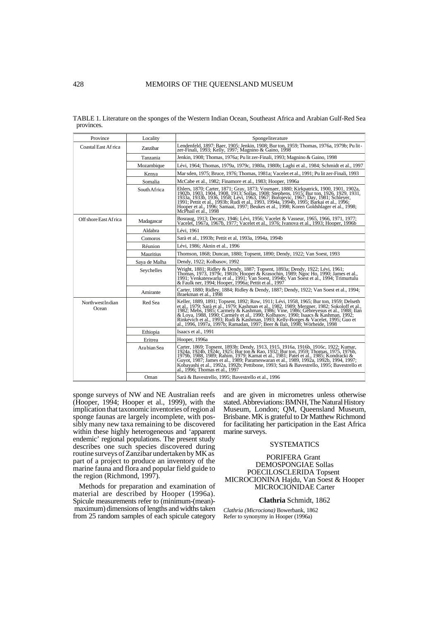| TABLE 1. Literature on the sponges of the Western Indian Ocean, Southeast Africa and Arabian Gulf-Red Sea |  |  |
|-----------------------------------------------------------------------------------------------------------|--|--|
| provinces.                                                                                                |  |  |

| Province                            | Locality      | Spongeliterature                                                                                                                                                                                                                                                                                                                                                                                                                                                                         |  |  |
|-------------------------------------|---------------|------------------------------------------------------------------------------------------------------------------------------------------------------------------------------------------------------------------------------------------------------------------------------------------------------------------------------------------------------------------------------------------------------------------------------------------------------------------------------------------|--|--|
| Coastal East Africa                 | Zanzibar      | Lendenfeld, 1897; Baer, 1905; Jenkin, 1908; Bur ton, 1959; Thomas, 1976a, 1979b; Pu lit-<br>zer-Finali, 1993; Kelly, 1997; Magnino & Gaino, 1998                                                                                                                                                                                                                                                                                                                                         |  |  |
|                                     | Tanzania      | Jenkin, 1908; Thomas, 1976a; Pu lit zer-Finali, 1993; Magnino & Gaino, 1998                                                                                                                                                                                                                                                                                                                                                                                                              |  |  |
|                                     | Mozambique    | Lévi, 1964; Thomas, 1979a, 1979c, 1980a, 1980b; Laghi et al., 1984; Schmidt et al., 1997                                                                                                                                                                                                                                                                                                                                                                                                 |  |  |
|                                     | Kenya         | Mar sden, 1975; Bruce, 1976; Thomas, 1981a; Vacelet et al., 1991; Pu lit zer-Finali, 1993                                                                                                                                                                                                                                                                                                                                                                                                |  |  |
|                                     | Somalia       | McCabe et al., 1982; Finamore et al., 1983; Hooper, 1996a                                                                                                                                                                                                                                                                                                                                                                                                                                |  |  |
|                                     | South Africa  | Ehlers, 1870; Carter, 1871; Gray, 1873; Vosmaer, 1880; Kirkpatrick, 1900, 1901, 1902a,<br>1902b, 1903, 1904, 1908, 1913; Sollas, 1908; Stephens, 1915; Burton, 1926, 1929, 1931, 1933b, 1936, 1958; Lévi, 1963, 1967; Dorojevic, 1967; Day, 1981; Schleyer,<br>1991; Pettit et al., 1993b; Rudi et al., 1993, 1994a, 1994b, 1995; Barkai et al., 1996;<br>Hooper et al., 1996; Samaai, 1997; Beukes et al., 1998; Koren Goldshlager et al., 1998;<br>McPhail et al., 1998                |  |  |
| Off shore East Africa               | Madagascar    | Bosraug, 1913; Decary, 1946; Lévi, 1956; Vacelet & Vasseur, 1965, 1966, 1971, 1977;<br>Vacelet, 1967a, 1967b, 1977; Vacelet et al., 1976; Ivanova et al., 1993; Hooper, 1996b                                                                                                                                                                                                                                                                                                            |  |  |
|                                     | Aldabra       | Lévi, 1961                                                                                                                                                                                                                                                                                                                                                                                                                                                                               |  |  |
|                                     | Comoros       | Sarà et al., 1993b; Pettit et al, 1993a, 1994a, 1994b                                                                                                                                                                                                                                                                                                                                                                                                                                    |  |  |
|                                     | Réunion       | Lévi, 1986; Aknin et al., 1996                                                                                                                                                                                                                                                                                                                                                                                                                                                           |  |  |
|                                     | Mauritius     | Thomson, 1868; Duncan, 1880; Topsent, 1890; Dendy, 1922; Van Soest, 1993                                                                                                                                                                                                                                                                                                                                                                                                                 |  |  |
|                                     | Saya de Malha | Dendy, 1922; Kolbasov, 1992                                                                                                                                                                                                                                                                                                                                                                                                                                                              |  |  |
|                                     | Seychelles    | Wright, 1881; Ridley & Dendy, 1887; Topsent, 1893a; Dendy, 1922; Lévi, 1961;<br>Thomas, 1973, 1979c, 1981b; Hooper & Krasochin, 1989; Ngoc Ho, 1990; James et al.,<br>1991; Venkateswarlu et al., 1991; Van Soest, 1994b; Van Soest et al., 1994; Trimurtulu<br>& Faulk ner, 1994; Hooper, 1996a; Pettit et al., 1997                                                                                                                                                                    |  |  |
|                                     | Amirante      | Carter, 1880; Ridley, 1884; Ridley & Dendy, 1887; Dendy, 1922; Van Soest et al., 1994;<br>Braekman et al., 1998                                                                                                                                                                                                                                                                                                                                                                          |  |  |
| Red Sea<br>NorthwestIndian<br>Ocean |               | Keller, 1889, 1891; Topsent, 1892; Row, 1911; Lévi, 1958, 1965; Bur ton, 1959; Delseth<br>et al., 1979; Sarà et al., 1979; Kashman et al., 1982, 1989; Mergner, 1982; Sokoloff et al.,<br>1982; Mebs. 1985; Carmely & Kashman, 1986; Vine, 1986; Gebreyesus et al., 1988; Ilan & Loya, 1988; Ilan & Loya, 1988; Ilan<br>Rinkevich et al., 1993; Rudi & Kashman, 1993; Kelly-Borges & Vacelet, 1995; Guo et<br>al., 1996, 1997a, 1997b; Ramadan, 1997; Beer & Ilan, 1998; Wörheide, 1998  |  |  |
|                                     | Ethiopia      | Isaacs et al., 1991                                                                                                                                                                                                                                                                                                                                                                                                                                                                      |  |  |
|                                     | Eritrea       | Hooper, 1996a                                                                                                                                                                                                                                                                                                                                                                                                                                                                            |  |  |
|                                     | Ara bian Sea  | Carter, 1869; Topsent, 1893b; Dendy, 1913, 1915, 1916a, 1916b, 1916c, 1922; Kumar,<br>1924a, 1924b, 1924c, 1925; Bur ton & Rao, 1932; Bur ton, 1959; Thomas, 1975, 1976b,<br>1979b, 1988, 1989; Rahim, 1979; Kamat et al., 1981; Patel et al., 1985; Kondracki &<br>Guyot, 1987; James et al., 1989; Parameswaran et al., 1989, 1992a, 1992b, 1994, 1997;<br>Kobayashi et al., 1992a, 1992b; Pettibone, 1993; Sarà & Bavestrello, 1995; Bavestrello et<br>al., 1996; Thomas et al., 1997 |  |  |
|                                     | Oman          | Sarà & Bavestrello, 1995; Bavestrello et al., 1996                                                                                                                                                                                                                                                                                                                                                                                                                                       |  |  |

sponge surveys of NW and NE Australian reefs (Hooper, 1994; Hooper et al., 1999), with the implication that taxonomic inventories of region al sponge faunas are largely incomplete, with possibly many new taxa remaining to be discovered within these highly heterogeneous and 'apparent endemic' regional populations. The present study describes one such species discovered during routine surveys of Zanzibar undertaken by MK as part of a project to produce an inventory of the marine fauna and flora and popular field guide to the region (Richmond, 1997).

Methods for preparation and examination of material are described by Hooper (1996a). Spicule measurements refer to (minimum-(mean) maximum) dimensions of lengths and widths taken from 25 random samples of each spicule category and are given in micrometres unless otherwise stated. Abbreviations: BMNH, The Natural History Museum, London; QM, Queensland Museum, Brisbane. MK is grateful to Dr Matthew Richmond for facilitating her participation in the East Africa marine surveys.

## SYSTEMATICS

## PORIFERA Grant DEMOSPONGIAE Sollas POECILOSCLERIDA Topsent MICROCIONINA Hajdu, Van Soest & Hooper MICROCIONIDAE Carter

#### **Clathria** Schmidt, 1862

*Clathria (Microciona)* Bowerbank, 1862 Refer to synonymy in Hooper (1996a)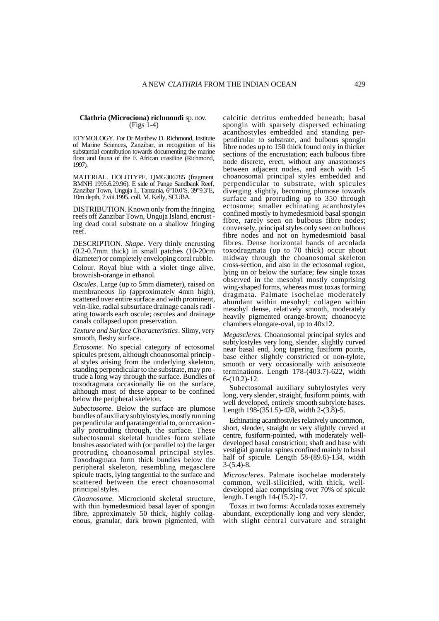# **Clathria (Microciona) richmondi** sp. nov. (Figs 1-4)

ETYMOLOGY. For Dr Matthew D. Richmond, Institute of Marine Sciences, Zanzibar, in recognition of his substantial contribution towards documenting the marine flora and fauna of the E African coastline (Richmond, 1997).

MATERIAL. HOLOTYPE. QMG306785 (fragment BMNH 1995.6.29.96). E side of Pange Sandbank Reef, Zanzibar Town, Unguja I., Tanzania, 6°10.0'S, 39°9.3'E, 10m depth, 7.viii.1995. coll. M. Kelly, SCUBA.

DISTRIBUTION. Known only from the fringing reefs off Zanzibar Town, Unguja Island, encrust ing dead coral substrate on a shallow fringing reef.

DESCRIPTION. *Shape*. Very thinly encrusting (0.2-0.7mm thick) in small patches (10-20cm diameter) or completely enveloping coral rubble. Colour. Royal blue with a violet tinge alive,

brownish-orange in ethanol.

*Oscules*. Large (up to 5mm diameter), raised on membraneous lip (approximately 4mm high), scattered over entire surface and with prominent, vein-like, radial subsurface drainage canals radi ating towards each oscule; oscules and drainage canals collapsed upon preservation.

*Texture and Surface Characteristics*. Slimy, very smooth, fleshy surface.

*Ectosome*. No special category of ectosomal spicules present, although choanosomal princip al styles arising from the underlying skeleton, standing perpendicular to the substrate, may pro trude a long way through the surface. Bundles of toxodragmata occasionally lie on the surface, although most of these appear to be confined below the peripheral skeleton.

*Subectosome*. Below the surface are plumose bundles of auxiliary subtylostyles, mostly run ning perpendicular and paratangential to, or occasion ally protruding through, the surface. These subectosomal skeletal bundles form stellate brushes associated with (or parallel to) the larger protruding choanosomal principal styles. Toxodragmata form thick bundles below the peripheral skeleton, resembling megasclere spicule tracts, lying tangential to the surface and scattered between the erect choanosomal principal styles.

*Choanosome.* Microcionid skeletal structure, with thin hymedesmioid basal layer of spongin fibre, approximately 50 thick, highly collagenous, granular, dark brown pigmented, with calcitic detritus embedded beneath; basal spongin with sparsely dispersed echinating acanthostyles embedded and standing perpendicular to substrate, and bulbous spongin fibre nodes up to 150 thick found only in thicker sections of the encrustation; each bulbous fibre node discrete, erect, without any anastomoses between adjacent nodes, and each with 1-5 choanosomal principal styles embedded and perpendicular to substrate, with spicules diverging slightly, becoming plumose towards surface and protruding up to 350 through ectosome; smaller echinating acanthostyles confined mostly to hymedesmioid basal spongin fibre, rarely seen on bulbous fibre nodes; conversely, principal styles only seen on bulbous fibre nodes and not on hymedesmioid basal fibres. Dense horizontal bands of accolada toxodragmata (up to 70 thick) occur about midway through the choanosomal skeleton cross-section, and also in the ectosomal region, lying on or below the surface; few single toxas observed in the mesohyl mostly comprising wing-shaped forms, whereas most toxas forming dragmata. Palmate isochelae moderately abundant within mesohyl; collagen within mesohyl dense, relatively smooth, moderately heavily pigmented orange-brown; choanocyte chambers elongate-oval, up to 40x12.

*Megascleres.* Choanosomal principal styles and subtylostyles very long, slender, slightly curved near basal end, long tapering fusiform points, base either slightly constricted or non-tylote, smooth or very occasionally with anisoxeote terminations. Length  $178-(403.7)-622$ , width  $6-(10.2)-12.$ 

Subectosomal auxiliary subtylostyles very long, very slender, straight, fusiform points, with well developed, entirely smooth subtylote bases. Length 198-(351.5)-428, width 2-(3.8)-5.

Echinating acanthostyles relatively uncommon, short, slender, straight or very slightly curved at centre, fusiform-pointed, with moderately well developed basal constriction; shaft and base with vestigial granular spines confined mainly to basal half of spicule. Length 58-(89.6)-134, width  $3-(5.4)-8.$ 

*Microscleres*. Palmate isochelae moderately common, well-silicified, with thick, well developed alae comprising over 70% of spicule length. Length 14-(15.2)-17.

Toxas in two forms: Accolada toxas extremely abundant, exceptionally long and very slender, with slight central curvature and straight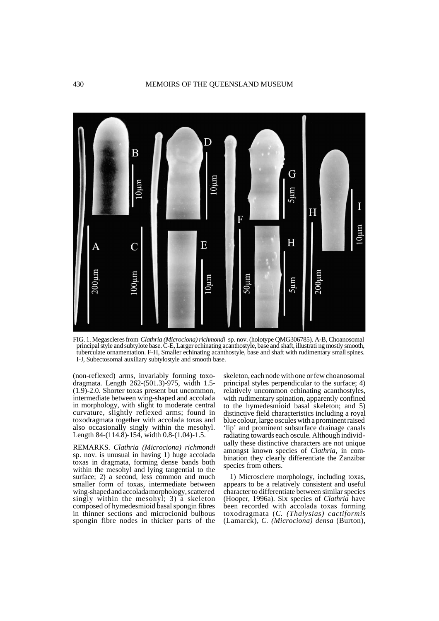

FIG. 1. Megascleres from *Clathria (Microciona) richmondi* sp. nov. (holotype QMG306785). A-B, Choanosomal principal style and subtylote base. C-E, Larger echinating acanthostyle, base and shaft, illustrati ng mostly smooth, tuberculate ornamentation. F-H, Smaller echinating acanthostyle, base and shaft with rudimentary small spines. I-J, Subectosomal auxiliary subtylostyle and smooth base.

(non-reflexed) arms, invariably forming toxodragmata. Length 262-(501.3)-975, width 1.5- (1.9)-2.0. Shorter toxas present but uncommon, intermediate between wing-shaped and accolada in morphology, with slight to moderate central curvature, slightly reflexed arms; found in toxodragmata together with accolada toxas and also occasionally singly within the mesohyl. Length 84-(114.8)-154, width 0.8-(1.04)-1.5.

REMARKS. *Clathria (Microciona) richmondi* sp. nov. is unusual in having 1) huge accolada toxas in dragmata, forming dense bands both within the mesohyl and lying tangential to the surface; 2) a second, less common and much smaller form of toxas, intermediate between wing-shaped and accolada morphology, scatter ed singly within the mesohyl;  $3)$  a skeleton composed of hymedesmioid basal spongin fibres in thinner sections and microcionid bulbous spongin fibre nodes in thicker parts of the

skeleton, each node with one or few choanosomal principal styles perpendicular to the surface; 4) relatively uncommon echinating acanthostyles, with rudimentary spination, apparently confined to the hymedesmioid basal skeleton; and 5) distinctive field characteristics including a royal blue colour, large oscules with a prominent raised 'lip' and prominent subsurface drainage canals radiating towards each oscule. Although individ ually these distinctive characters are not unique amongst known species of *Clathria*, in combination they clearly differentiate the Zanzibar species from others.

1) Microsclere morphology, including toxas, appears to be a relatively consistent and useful character to differentiate between similar species (Hooper, 1996a). Six species of *Clathria* have been recorded with accolada toxas forming toxodragmata (*C. (Thalysias) cactiformis* (Lamarck), *C. (Microciona) densa* (Burton),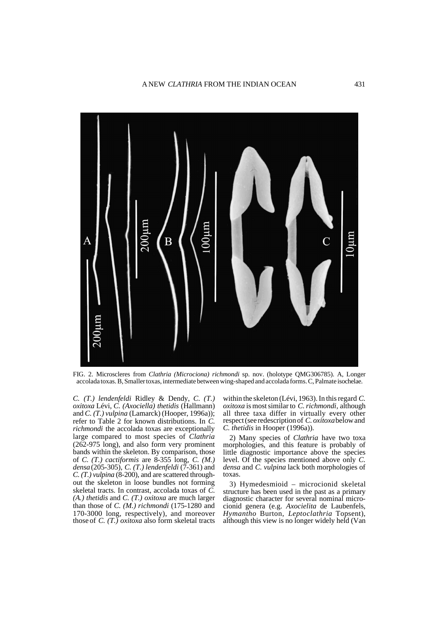

FIG. 2. Microscleres from *Clathria (Microciona) richmondi* sp. nov. (holotype QMG306785). A, Longer accolada toxas. B, Smaller toxas, intermediate between wing-shaped and accolada forms. C, Palmate isochelae.

*C. (T.) lendenfeldi* Ridley & Dendy, *C. (T.) oxitoxa* Lévi, *C. (Axociella) thetidis* (Hallmann) and *C. (T.) vulpina* (Lamarck) (Hooper, 1996a)); refer to Table 2 for known distributions. In *C. richmondi* the accolada toxas are exceptionally large compared to most species of *Clathria* (262-975 long), and also form very prominent bands within the skeleton. By comparison, those of *C. (T.) cactiformis* are 8-355 long, *C. (M.) densa* (205-305), *C. (T.) lendenfeldi* (7-361) and *C. (T.) vulpina* (8-200), and are scattered throughout the skeleton in loose bundles not forming skeletal tracts. In contrast, accolada toxas of *C. (A.) thetidis* and *C. (T.) oxitoxa* are much larger than those of *C. (M.) richmondi* (175-1280 and 170-3000 long, respectively), and moreover those of *C. (T.) oxitoxa* also form skeletal tracts within the skeleton (Lévi, 1963). In this regard *C. oxitoxa* is most similar to *C. richmondi*, although all three taxa differ in virtually every other respect (see redescription of *C. oxitoxa* below and *C. thetidis* in Hooper (1996a)).

2) Many species of *Clathria* have two toxa morphologies, and this feature is probably of little diagnostic importance above the species level. Of the species mentioned above only *C. densa* and *C. vulpina* lack both morphologies of toxas.

3) Hymedesmioid – microcionid skeletal structure has been used in the past as a primary diagnostic character for several nominal microcionid genera (e.g. *Axocielita* de Laubenfels, *Hymantho* Burton, *Lepto clathria* Topsent), although this view is no longer widely held (Van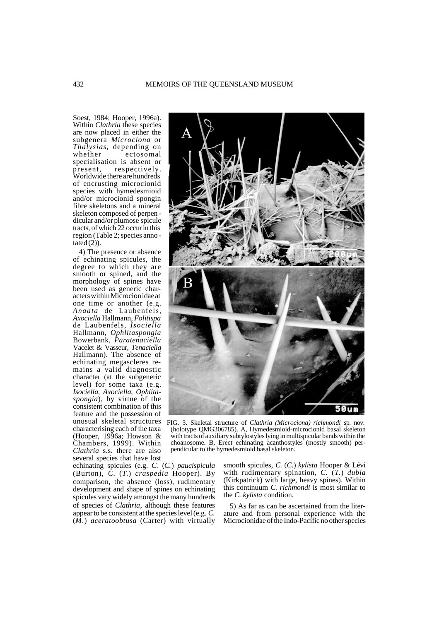Soest, 1984; Hooper, 1996a). Within *Clathria* these species are now placed in either the subgenera *Microciona* or *Thalysias*, depending on whether ectosomal specialisation is absent or present, respectively. Worldwide there are hundreds of encrusting microcionid species with hymedesmioid and/or microcionid spongin fibre skeletons and a mineral skeleton composed of perpen dicular and/or plumose spicule tracts, of which 22 occur in this region (Table 2; species anno tated  $(2)$ ).

4) The presence or absence of echinating spicules, the degree to which they are smooth or spined, and the morphology of spines have been used as generic characters within Microcion idae at one time or another (e.g. *Anaata* de Laubenfels, *Axociella* Hallmann, *Folitispa*  de Laubenfels, *Isociella* Hallmann, *Ophlitaspongia* Bowerbank, *Paratenaciella* Vacelet & Vasseur, *Tenaciella* Hallmann). The absence of echinating megascleres remains a valid diagnostic character (at the subgeneric level) for some taxa (e.g. *Isociella*, *Axociella*, *Ophlita spongia*), by virtue of the consistent combination of this feature and the possession of unusual skeletal structures characterising each of the taxa (Hooper, 1996a; Howson  $&$ Chambers, 1999). Within *Clathria* s.s. there are also several species that have lost

echinating spicules (e.g. *C.* (*C.*) *paucispicula* (Burton), *C.* (*T.*) *craspedia* Hooper). By comparison, the absence (loss), rudimentary development and shape of spines on echinating spicules vary widely amongst the many hundreds of species of *Clathria*, although these features appear to be consistent at the species level (e.g. *C.*  (*M.*) *aceratoobtusa* (Carter) with virtually



FIG. 3. Skeletal structure of *Clathria (Microciona) richmondi* sp. nov. (holotype QMG306785). A, Hymedesmioid-microcionid basal skeleton with tracts of auxiliary subtylostyles lying in multispicular bands within the choanosome. B, Erect echinating acanthostyles (mostly smooth) perpendicular to the hymedesmioid basal skeleton.

smooth spicules, *C.* (*C.*) *kylista* Hooper & Lévi with rudimentary spination, *C.* (*T.*) *dubia* (Kirkpatrick) with large, heavy spines). Within this continuum *C. richmondi* is most similar to the *C. kylista* condition.

5) As far as can be ascertained from the literature and from personal experience with the Microcionidae of the Indo-Pacific no other species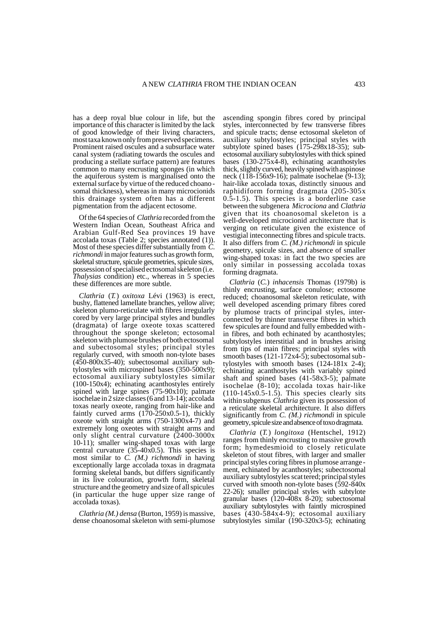has a deep royal blue colour in life, but the importance of this character is limited by the lack of good knowledge of their living characters, most taxa known only from preserved specimens. Prominent raised oscules and a subsurface water canal system (radiating towards the oscules and producing a stellate surface pattern) are features common to many encrusting sponges (in which the aquiferous system is marginalised onto the external surface by virtue of the reduced choano somal thickness), whereas in many microcionids this drainage system often has a different pigmentation from the adjacent ectosome.

Of the 64 species of *Clathria* recorded from the Western Indian Ocean, Southeast Africa and Arabian Gulf-Red Sea provinces 19 have accolada toxas (Table 2; species annotated (1)). Most of these species differ substantially from *C. richmondi* in major features such as growth form, skeletal structure, spicule geometries, spicule sizes, possession of specialised ectosomal skeleton (i.e. *Thalysias* condition) etc., whereas in 5 species these differences are more subtle.

*Clathria* (*T.*) *oxitoxa* Lévi (1963) is erect, bushy, flattened lamellate branches, yellow alive; skeleton plumo-reticulate with fibres irregularly cored by very large principal styles and bundles (dragmata) of large oxeote toxas scattered throughout the sponge skeleton; ectosomal skeleton with plumose brushes of both ectosomal and subectosomal styles; principal styles regularly curved, with smooth non-tylote bases  $(450-800x35-40)$ ; subectosomal auxiliary subtylostyles with microspined bases (350-500x9); ectosomal auxiliary subtylostyles similar (100-150x4); echinating acanthostyles entirely spined with large spines (75-90x10); palmate isochelae in 2 size classes (6 and 13-14); accolada toxas nearly oxeote, ranging from hair-like and faintly curved arms (170-250x0.5-1), thickly oxeote with straight arms (750-1300x4-7) and extremely long oxeotes with straight arms and only slight central curvature (2400-3000x 10-11); smaller wing-shaped toxas with large central curvature  $(35-40x0.5)$ . This species is most similar to *C. (M.) richmondi* in having exceptionally large accolada toxas in dragmata forming skeletal bands, but differs significantly in its live colouration, growth form, skeletal structure and the geometry and size of all spicules (in particular the huge upper size range of accolada toxas).

*Clathria (M.) densa* (Burton, 1959) is massive, dense choanosomal skeleton with semi-plumose ascending spongin fibres cored by principal styles, interconnected by few transverse fibres and spicule tracts; dense ectosomal skeleton of auxiliary subtylostyles; principal styles with subtylote spined bases  $(175-298x18-35)$ ; subectosomal auxiliary subtylostyles with thick spined bases (130-275x4-8), echinating acanthostyles thick, slightly curved, heavily spined with aspinose neck (118-156x9-16); palmate isochelae (9-13); hair-like accolada toxas, distinctly sinuous and raphidiform forming dragmata (205-305x 0.5-1.5). This species is a borderline case between the subgenera *Microciona* and *Clathria* given that its choanosomal skeleton is a well-developed microcionid architecture that is verging on reticulate given the existence of vestigial inteconnecting fibres and spicule tracts. It also differs from *C. (M.) richmondi* in spicule geometry, spicule sizes, and absence of smaller wing-shaped toxas: in fact the two species are only similar in possessing accolada toxas forming dragmata.

*Clathria* (*C.*) *inhacensis* Thomas (1979b) is thinly encrusting, surface conulose; ectosome reduced; choanosomal skeleton reticulate, with well developed ascending primary fibres cored by plumose tracts of principal styles, interconnected by thinner transverse fibres in which few spicules are found and fully embedded with in fibres, and both echinated by acanthostyles; subtylostyles interstitial and in brushes arising from tips of main fibres; principal styles with smooth bases (121-172x4-5); subectosomal sub tylostyles with smooth bases (124-181x 2-4); echinating acanthostyles with variably spined shaft and spined bases (41-58x3-5); palmate isochelae  $(8-10)$ ; accolada toxas hair-like  $(110-145x0.5-1.5)$ . This species clearly sits within subgenus *Clathria* given its possession of a reticulate skeletal architecture. It also differs significantly from *C. (M.) richmondi* in spicule geometry, spicule size and absence of toxo dragmata.

*Clathria* (*T.*) *longitoxa* (Hentschel, 1912) ranges from thinly encrusting to massive growth form; hymedesmioid to closely reticulate skeleton of stout fibres, with larger and smaller principal styles coring fibres in plumose arrange ment, echinated by acanthostyles; subectosomal auxiliary subtylostyles scat tered; principal styles curved with smooth non-tylote bases (592-840x 22-26); smaller principal styles with subtylote granular bases  $(120-408x 8-20)$ ; subectosomal auxiliary subtylostyles with faintly microspined bases (430-584x4-9); ectosomal auxiliary subtylostyles similar (190-320x3-5); echinating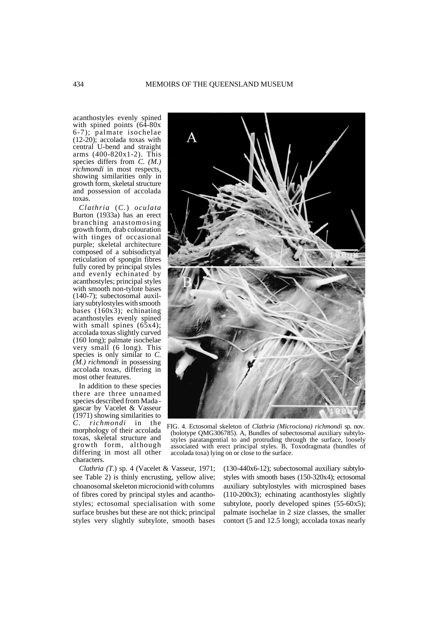acanthostyles evenly spined with spined points (64-80x 6-7); palmate isochelae (12-20); accolada toxas with central U-bend and straight arms (400-820x1-2). This species differs from *C. (M.) richmondi* in most respects, showing similarities only in growth form, skeletal structure and possession of accolada toxas.

*Clathria* (*C.*) *oculata* Burton (1933a) has an erect branching anastomosing growth form, drab colouration with tinges of occasional purple; skeletal architecture composed of a subisodictyal reticulation of spongin fibres fully cored by principal styles and evenly echinated by acanthostyles; principal styles with smooth non-tylote bases (140-7); subectosomal auxiliary subtylostyles with smooth bases (160x3); echinating acanthostyles evenly spined with small spines (65x4); accolada toxas slightly curved (160 long); palmate isochelae very small (6 long). This species is only similar to *C. (M.) richmondi* in possessing accolada toxas, differing in most other features.

In addition to these species there are three unnamed species described from Mada gascar by Vacelet & Vasseur  $(1971)$  showing similarities to *C. richmondi* in the morphology of their accolada toxas, skeletal structure and growth form, although differing in most all other characters.

*Clathria (T.*) sp. 4 (Vacelet & Vasseur, 1971; see Table 2) is thinly encrusting, yellow alive; choanosomal skeleton microcionid with columns of fibres cored by principal styles and acanthostyles; ectosomal specialisation with some surface brushes but these are not thick; principal styles very slightly subtylote, smooth bases

FIG. 4. Ectosomal skeleton of *Clathria (Microciona) richmondi* sp. nov. (holotype QMG306785). A, Bundles of subectosomal auxiliary subtylo-

styles paratangential to and protruding through the surface, loosely associated with erect principal styles. B, Toxodragmata (bundles of accolada toxa) lying on or close to the surface.

> (130-440x6-12); subectosomal auxiliary subtylostyles with smooth bases (150-320x4); ectosomal auxiliary subtylostyles with microspined bases (110-200x3); echinating acanthostyles slightly subtylote, poorly developed spines (55-60x5); palmate isochelae in 2 size classes, the smaller contort (5 and 12.5 long); accolada toxas nearly

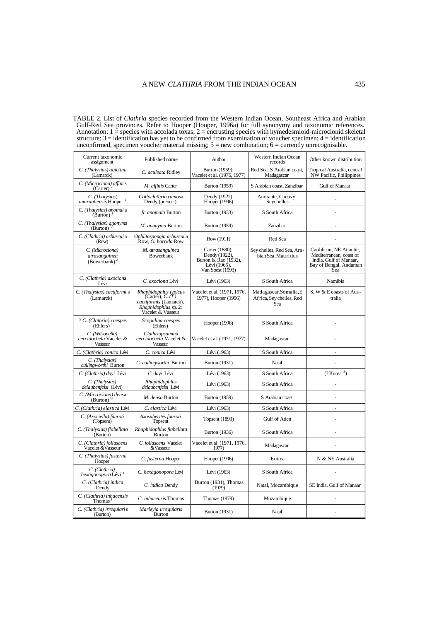TABLE 2. List of *Clathria* species recorded from the Western Indian Ocean, Southeast Africa and Arabian Gulf-Red Sea provinces. Refer to Hooper (Hooper, 1996a) for full synonymy and taxonomic references. Annotation:  $1 =$  species with accolada toxas;  $2 =$  encrusting species with hymedesmioid-microcionid skeletal structure; 3 = identification has yet to be confirmed from examination of voucher specimen; 4 = identification unconfirmed, specimen voucher material missing;  $5 = new$  combination;  $6 =$  currently unrecognisable.

| Current taxonomic<br>assignment                              | Published name                                                                                                    | Author                                                                                      | Western Indian Ocean<br>records                           | Other known distribution                                                                                      |
|--------------------------------------------------------------|-------------------------------------------------------------------------------------------------------------------|---------------------------------------------------------------------------------------------|-----------------------------------------------------------|---------------------------------------------------------------------------------------------------------------|
| C. (Thalysias) abietina<br>(Lamarck)                         | C. aculeata Ridley                                                                                                | Burton (1959),<br>Vacelet et al. (1976, 1977)                                               | Red Sea, S Arabian coast,<br>Madagascar                   | Tropical Australia, central<br>NW Pacific, Philippines                                                        |
| C. (Microciona) affini s<br>(Carter)                         | M. affinis Carter                                                                                                 | <b>Burton</b> (1959)                                                                        | S Arabian coast, Zanzibar                                 | Gulf of Manaar                                                                                                |
| C. (Thalysias)<br>amirantiensis Hooper <sup>1</sup>          | Colloclathria ramosa<br>Dendy (preocc.)                                                                           | Dendy (1922),<br>Hooper (1996)                                                              | Amirante, Coëtivy,<br>Seychelles                          |                                                                                                               |
| C. (Thalysias) anomal a<br>$(Burton)$ <sup>1</sup>           | R. anomala Burton                                                                                                 | <b>Burton</b> (1933)                                                                        | S South Africa                                            |                                                                                                               |
| C. (Thalysias) anonyma<br>(Burton) <sup>2</sup>              | M. anonyma Burton                                                                                                 | <b>Burton</b> (1959)                                                                        | Zanzibar                                                  |                                                                                                               |
| C. (Clathria) arbuscul a<br>(Row)                            | Ophlitaspongia arbuscul a<br>Row, <i>O. horrida</i> Row                                                           | Row (1911)                                                                                  | Red Sea                                                   |                                                                                                               |
| C. (Microciona)<br>atrasanguinea<br>(Bowerbank) $^2$         | M. atrasanguinea<br>Bowerbank                                                                                     | Carter (1880),<br>Dendy (1922),<br>Burton & Rao (1932),<br>Lévi (1965),<br>Van Soest (1993) | Sey chelles, Red Sea, Ara-<br>bian Sea, Mauritius         | Caribbean, NE Atlantic,<br>Mediterranean, coast of<br>India, Gulf of Manaar,<br>Bay of Bengal, Andaman<br>Sea |
| C. (Clathria) axociona<br>Lévi                               | C. axociona Lévi                                                                                                  | Lévi (1963)                                                                                 | S South Africa                                            | Namibia                                                                                                       |
| C. (Thalysias) cactiformi s<br>(Lamarck) <sup>1</sup>        | Rhaphidophlus typicus<br>(Carter), C. (T.)<br>cactiformis (Lamarck),<br>Rhaphidophlus sp. 2;<br>Vacelet & Vasseur | Vacelet et al. (1971, 1976,<br>1977), Hooper (1996)                                         | Madagascar, Somalia, E<br>Africa, Sey chelles, Red<br>Sea | S, W & E coasts of Aus-<br>tralia                                                                             |
| ? C. (Clathria) caespes<br>$(Ehlers)$ <sup>o</sup>           | Scopalina caespes<br>(Ehlers)                                                                                     | Hooper (1996)                                                                               | S South Africa                                            |                                                                                                               |
| C. (Wilsonella)<br>cercidochela Vacelet &<br>Vasseur         | Clathriopsamma<br>cercidochela Vacelet &<br>Vasseur                                                               | Vacelet et al. (1971, 1977)                                                                 | Madagascar                                                |                                                                                                               |
| C. (Clathria) conica Lévi                                    | C. conica Lévi                                                                                                    | Lévi (1963)                                                                                 | S South Africa                                            | ÷,                                                                                                            |
| C. (Thalysias)<br>cullingworthi Burton                       | C. cullingworthi Burton                                                                                           | <b>Burton</b> (1931)                                                                        | Natal                                                     |                                                                                                               |
| C. (Clathria) dayi Lévi                                      | C. dayi Lévi                                                                                                      | Lévi (1963)                                                                                 | S South Africa                                            | $(?$ Korea $^3)$                                                                                              |
| C. (Thalysias)<br>delaubenfelsi (Lévi)                       | Rhaphidophlus<br>delaubenfelsi Lévi                                                                               | Lévi (1963)                                                                                 | S South Africa                                            |                                                                                                               |
| C. (Microciona) densa<br>$(Burton)^{1}$                      | M. densa Burton                                                                                                   | <b>Burton</b> (1959)                                                                        | S Arabian coast                                           | ÷,                                                                                                            |
| C. (Clathria) elastica Lévi                                  | C. elastica Lévi                                                                                                  | Lévi (1963)                                                                                 | S South Africa                                            | $\overline{a}$                                                                                                |
| C. (Axociella) fauroti<br>(Topsent)                          | Axosuberites fauroti<br>Topsent                                                                                   | <b>Topsent</b> (1893)                                                                       | Gulf of Aden                                              | ÷,                                                                                                            |
| C. (Thalysias) flabellata<br>(Burton)                        | Rhaphidophlus flabellata<br>Burton                                                                                | <b>Burton</b> (1936)                                                                        | S South Africa                                            | $\frac{1}{2}$                                                                                                 |
| C. (Clathria) foliascens<br>Vacelet & Vasseur                | C. foliascens Vacelet<br>&Vasseur                                                                                 | Vacelet et al. (1971, 1976,<br>1977)                                                        | Madagascar                                                |                                                                                                               |
| C. (Thalysias) fusterna<br>Hooper                            | C. fusterna Hooper                                                                                                | Hooper (1996)                                                                               | Eritrea                                                   | N & NE Australia                                                                                              |
| C. (Clathria)<br>hexagonopora Lévi <sup>1</sup>              | C. hexagonopora Lévi                                                                                              | Lévi (1963)                                                                                 | S South Africa                                            | L.                                                                                                            |
| C. (Clathria) indica<br>Dendy                                | C. indica Dendy                                                                                                   | Burton (1931), Thomas<br>(1979)                                                             | Natal, Mozambique                                         | SE India, Gulf of Manaar                                                                                      |
| C. (Clathria) inhacensis<br>Thomas <sup><math>1</math></sup> | C. inhacensis Thomas                                                                                              | Thomas (1979)                                                                               | Mozambique                                                |                                                                                                               |
| C. (Clathria) irregulari s<br>(Burton)                       | Marleyia irregularis<br>Burton                                                                                    | <b>Burton</b> (1931)                                                                        | Natal                                                     | L.                                                                                                            |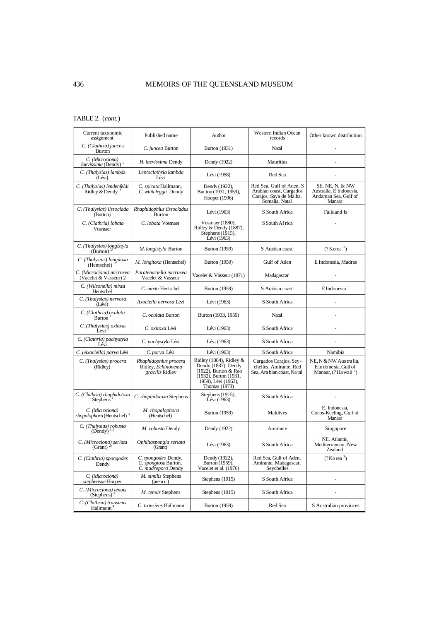# TABLE 2. (*cont*.)

| Current taxonomic<br>assignment                           | Published name                                                    | Author                                                                                                                                         | Western Indian Ocean<br>records                                                                  | Other known distribution                                                             |
|-----------------------------------------------------------|-------------------------------------------------------------------|------------------------------------------------------------------------------------------------------------------------------------------------|--------------------------------------------------------------------------------------------------|--------------------------------------------------------------------------------------|
| C. (Clathria) juncea<br>Burton                            | C. juncea Burton                                                  | <b>Burton</b> (1931)                                                                                                                           | Natal                                                                                            |                                                                                      |
| C. (Microciona)<br>laevissima (Dendy) <sup>2</sup>        | H. laevissima Dendy                                               | Dendy (1922)                                                                                                                                   | Mauritius                                                                                        |                                                                                      |
| C. (Thalysias) lambda<br>(Lévi)                           | Leptoclathria lambda<br>Lévi                                      | Lévi (1958)                                                                                                                                    | Red Sea                                                                                          |                                                                                      |
| C. (Thalysias) lendenfeldi<br>Ridley & Dendy <sup>1</sup> | C. spicata Hallmann,<br>C. whiteleggii Dendy                      | Dendy (1922),<br>Bur ton (1931, 1959),<br>Hooper (1996)                                                                                        | Red Sea, Gulf of Aden, S<br>Arabian coast, Cargados<br>Carajos, Saya de Malha,<br>Somalia, Natal | SE, NE, N. & NW<br>Australia, E Indonesia,<br>Andaman Sea, Gulf of<br>Manaar         |
| C. (Thalysias) lissoclada<br>(Burton)                     | Rhaphidophlus lissocladus<br>Burton                               | Lévi (1963)                                                                                                                                    | S South Africa                                                                                   | Falkland Is                                                                          |
| C. (Clathria) lobata<br>Vosmaer                           | C. lobata Vosmaer                                                 | Vosmaer (1880),<br>Ridley & Dendy (1887),<br>Stephens (1915),<br>Lévi (1963)                                                                   | S South Africa                                                                                   |                                                                                      |
| C. (Thalysias) longistyla<br>(Burton) <sup>25</sup>       | M. longistyla Burton                                              | <b>Burton</b> (1959)                                                                                                                           | S Arabian coast                                                                                  | $(?$ Korea $^3)$                                                                     |
| C. (Thalysias) longitoxa<br>(Hentschel)                   | M. longitoxa (Hentschel)                                          | <b>Burton</b> (1959)                                                                                                                           | Gulf of Aden                                                                                     | E Indonesia, Madras                                                                  |
| C. (Microciona) microxea<br>(Vacelet & Vasseur) 2         | Paratenaciella microxea<br>Vacelet & Vasseur                      | Vacelet & Vasseur (1971)                                                                                                                       | Madagascar                                                                                       |                                                                                      |
| C. (Wilsonella) mixta<br>Hentschel                        | C. mixta Hentschel                                                | <b>Burton</b> (1959)                                                                                                                           | S Arabian coast                                                                                  | $E$ Indonesia $3$                                                                    |
| C. (Thalysias) nervosa<br>(Lévi)                          | Axociella nervosa Lévi                                            | Lévi (1963)                                                                                                                                    | S South Africa                                                                                   |                                                                                      |
| C. (Clathria) oculata<br>Burton <sup>1</sup>              | C. oculata Burton                                                 | Burton (1933, 1959)                                                                                                                            | Natal                                                                                            |                                                                                      |
| C. (Thalysias) oxitoxa<br>Lévi                            | C. oxitoxa Lévi                                                   | Lévi (1963)                                                                                                                                    | S South Africa                                                                                   |                                                                                      |
| C. (Clathria) pachystyla<br>Lévi                          | C. pachystyla Lévi                                                | Lévi (1963)                                                                                                                                    | S South Africa                                                                                   |                                                                                      |
| C. (Axociella) parva Lévi                                 | C. parva Lévi                                                     | Lévi (1963)                                                                                                                                    | S South Africa                                                                                   | Namibia                                                                              |
| C. (Thalysias) procera<br>(Ridley)                        | Rhaphidophlus procera<br>Ridley, Echinonema<br>gracilis Ridley    | Ridley (1884), Ridley $&$<br>Dendy (1887), Dendy<br>(1922), Burton & Rao<br>$(1932)$ , Burton $(1931,$<br>1959), Lévi (1963),<br>Thomas (1973) | Cargados Carajos, Sey-<br>chelles, Amirante, Red<br>Sea, Ara bian coast, Na tal                  | NE, N & NW Australia,<br>E In do ne sia, Gulf of<br>Manaar, (?Ha waii <sup>3</sup> ) |
| C. (Clathria) rhaphidotoxa<br><b>Stephens</b>             | C. rhaphidotoxa Stephens                                          | Stephens (1915),<br>Lévi (1963)                                                                                                                | S South Africa                                                                                   |                                                                                      |
| C. (Microciona)<br>$rho$ phora (Hentschel) <sup>2</sup>   | M. rhopalophora<br>(Hentschel)                                    | <b>Burton</b> (1959)                                                                                                                           | Maldives                                                                                         | E. Indonesia,<br>Cocos-Keeling, Gulf of<br>Manaar                                    |
| C. (Thalysias) robusta<br>$(Dendy)$ <sup>1,2</sup>        | M. robusta Dendy                                                  | Dendy (1922)                                                                                                                                   | Amirante                                                                                         | Singapore                                                                            |
| C. (Microciona) seriata<br>(Grant) $^{24}$                | Ophlitaspongia seriata<br>(Grant)                                 | Lévi (1963)                                                                                                                                    | S South Africa                                                                                   | NE. Atlantic,<br>Mediterranean, New<br>Zealand                                       |
| C. (Clathria) spongodes<br>Dendy                          | C. spongodes Dendy,<br>C. spongiosa Burton,<br>C. madrepora Dendy | Dendy (1922),<br>Burton (1959),<br>Vacelet et al. (1976)                                                                                       | Red Sea, Gulf of Aden,<br>Amirante, Madagascar,<br>Sevchelles                                    | (?Korea <sup>3</sup> )                                                               |
| C. (Microciona)<br>stephensae Hooper                      | M. similis Stephens<br>(preocc.)                                  | Stephens (1915)                                                                                                                                | S South Africa                                                                                   |                                                                                      |
| C. (Microciona) tenuis<br>(Stephens) $2$                  | M. tenuis Stephens                                                | Stephens (1915)                                                                                                                                | S South Africa                                                                                   |                                                                                      |
| C. (Clathria) transiens<br>Hallmann <sup>4</sup>          | C. transiens Hallmann                                             | <b>Burton</b> (1959)                                                                                                                           | Red Sea                                                                                          | S Australian provinces                                                               |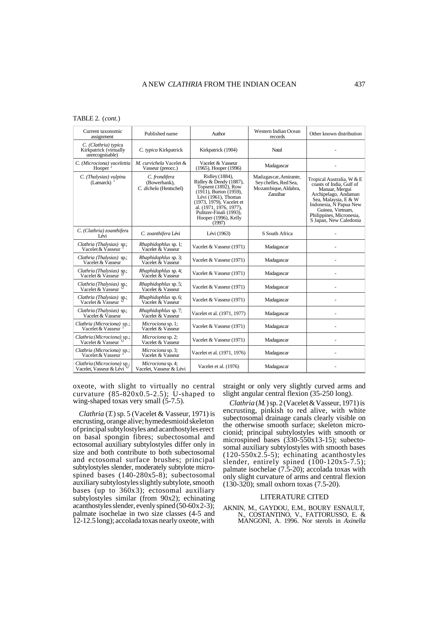## TABLE 2. (*cont*.)

| Current taxonomic<br>assignment                                   | Published name                                          | Author                                                                                                                                                                                                                                             | Western Indian Ocean<br>records                                                           | Other known distribution                                                                                                                                                                                                    |
|-------------------------------------------------------------------|---------------------------------------------------------|----------------------------------------------------------------------------------------------------------------------------------------------------------------------------------------------------------------------------------------------------|-------------------------------------------------------------------------------------------|-----------------------------------------------------------------------------------------------------------------------------------------------------------------------------------------------------------------------------|
| C. (Clathria) typica<br>Kirkpatrick (virtually<br>unrecognisable) | C. typica Kirkpatrick                                   | Kirkpatrick (1904)                                                                                                                                                                                                                                 | Natal                                                                                     |                                                                                                                                                                                                                             |
| C. (Microciona) vacelettia<br>Hooper $^2$                         | M. curvichela Vacelet &<br>Vasseur (preocc.)            | Vacelet & Vasseur<br>(1965), Hooper (1996)                                                                                                                                                                                                         | Madagascar                                                                                |                                                                                                                                                                                                                             |
| C. (Thalysias) vulpina<br>(Lamarck)                               | C. frondifera<br>(Bowerbank).<br>C. dichela (Hentschel) | Ridley (1884),<br>Ridley & Dendy (1887),<br>Topsent (1892), Row<br>$(19\overline{1}1)$ , Burton (1959),<br>Lévi (1961). Thomas<br>(1973, 1979), Vacelet et<br>al. (1971, 1976, 1977),<br>Pulitzer-Finali (1993),<br>Hooper (1996), Kelly<br>(1997) | Madagascar, Amirante,<br>Sey chelles, Red Sea,<br>Mozambique, Aldabra,<br><b>Zanzibar</b> | Tropical Australia, W & E<br>coasts of India. Gulf of<br>Manaar, Mergui<br>Archipelago, Andaman<br>Sea, Malaysia, E & W<br>Indonesia, N Papua New<br>Guinea, Vietnam.<br>Philippines, Micronesia,<br>S Japan, New Caledonia |
| C. (Clathria) zoanthifera<br>I évi                                | C. zoanthifera Lévi                                     | Lévi (1963)                                                                                                                                                                                                                                        | S South Africa                                                                            |                                                                                                                                                                                                                             |
| Clathria (Thalysias) sp.;<br>Vacelet & Vasseur                    | <i>Rhaphidophlus sp. 1;</i><br>Vacelet & Vasseur        | Vacelet & Vasseur (1971)                                                                                                                                                                                                                           | Madagascar                                                                                |                                                                                                                                                                                                                             |
| Clathria (Thalysias) sp.;<br>Vacelet & Vasseur                    | <i>Rhaphidophlus sp. 3;</i><br>Vacelet & Vasseur        | Vacelet & Vasseur (1971)                                                                                                                                                                                                                           | Madagascar                                                                                |                                                                                                                                                                                                                             |
| Clathria (Thalysias) sp.;<br>Vacelet & Vasseur                    | Rhaphidophlus sp. 4;<br>Vacelet & Vasseur               | Vacelet & Vasseur (1971)                                                                                                                                                                                                                           | Madagascar                                                                                |                                                                                                                                                                                                                             |
| Clathria (Thalysias) sp.;<br>Vacelet & Vasseur                    | Rhaphidophlus sp. 5;<br>Vacelet & Vasseur               | Vacelet & Vasseur (1971)                                                                                                                                                                                                                           | Madagascar                                                                                |                                                                                                                                                                                                                             |
| Clathria (Thalysias) sp.;<br>Vacelet & Vasseur                    | Rhaphidophlus sp. 6;<br>Vacelet & Vasseur               | Vacelet & Vasseur (1971)                                                                                                                                                                                                                           | Madagascar                                                                                |                                                                                                                                                                                                                             |
| Clathria (Thalysias) sp.;<br>Vacelet & Vasseur                    | <i>Rhaphidophlus sp. 7;</i><br>Vacelet & Vasseur        | Vacelet et al. (1971, 1977)                                                                                                                                                                                                                        | Madagascar                                                                                |                                                                                                                                                                                                                             |
| Clathria (Microciona) sp.;<br>Vacelet & Vasseur                   | Microciona sp. 1;<br>Vacelet & Vasseur                  | Vacelet & Vasseur (1971)                                                                                                                                                                                                                           | Madagascar                                                                                |                                                                                                                                                                                                                             |
| Clathria (Microciona) sp.;<br>Vacelet & Vasseur                   | Microciona sp. 2;<br>Vacelet & Vasseur                  | Vacelet & Vasseur (1971)                                                                                                                                                                                                                           | Madagascar                                                                                |                                                                                                                                                                                                                             |
| Clathria (Microciona) sp.;<br>Vacelet & Vasseur                   | Microciona sp. 3;<br>Vacelet & Vasseur                  | Vacelet et al. (1971, 1976)                                                                                                                                                                                                                        | Madagascar                                                                                |                                                                                                                                                                                                                             |
| Clathria (Microciona) sp.;<br>Vacelet. Vasseur & Lévi             | Microciona sp. 4;<br>Vacelet. Vasseur & Lévi            | Vacelet et al. (1976)                                                                                                                                                                                                                              | Madagascar                                                                                |                                                                                                                                                                                                                             |

oxeote, with slight to virtually no central curvature  $(85-820x0.5-2.5)$ ; U-shaped to wing-shaped toxas very small (5-7.5).

*Clathria* (*T.*) sp. 5 (Vacelet & Vasseur, 1971) is encrusting, orange alive; hymedesmioid skeleton of principal subtylostyles and acanthostyles erect on basal spongin fibres; subectosomal and ectosomal auxiliary subtylostyles differ only in size and both contribute to both subectosomal and ectosomal surface brushes; principal subtylostyles slender, moderately subtylote microspined bases (140-280x5-8); subectosomal auxiliary subtylostyles slightly subtylote, smooth bases (up to 360x3); ectosomal auxiliary subtylostyles similar (from 90x2); echinating acanthostyles slender, evenly spined  $(50-60x2-3)$ ; palmate isochelae in two size classes (4-5 and 12-12.5 long); accolada toxas nearly oxeote, with

straight or only very slightly curved arms and slight angular central flexion (35-250 long).

*Clathria* (*M.*) sp. 2 (Vacelet & Vasseur, 1971) is encrusting, pinkish to red alive, with white subectosomal drainage canals clearly visible on the otherwise smooth surface; skeleton microcionid; principal subtylostyles with smooth or microspined bases (330-550x13-15); subectosomal auxiliary subtylostyles with smooth bases  $(120-550x2.5-5)$ ; echinating acanthostyles slender, entirely spined  $(100-120x5-7.5)$ ; palmate isochelae (7.5-20); accolada toxas with only slight curvature of arms and central flexion (130-320); small oxhorn toxas (7.5-20).

# LITERATURE CITED

AKNIN, M., GAYDOU, E.M., BOURY ESNAULT, N., COSTANTINO, V., FATTORUSSO, E. & MANGONI, A. 1996. Nor sterols in *Axinella*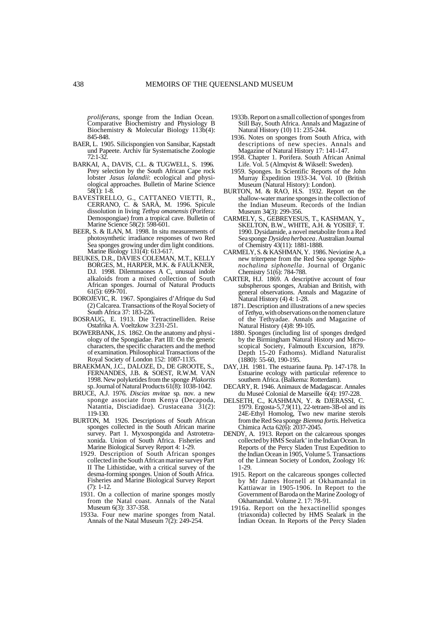*proliferans*, sponge from the Indian Ocean. Comparative Biochemistry and Physiology B Biochemistry & Molecular Biology 113b(4): 845-848.

- BAER, L. 1905. Silicispongien von Sansibar, Kapstadt und Papeete. Archiv für Systematische Zoologie 72:1-32.
- BARKAI, A., DAVIS, C.L. & TUGWELL, S. 1996. Prey selection by the South African Cape rock lobster *Jasus lalandii*: ecological and physiological approaches. Bulletin of Marine Science 58(1): 1-8.
- BAVESTRELLO, G., CATTANEO VIETTI, R., CERRANO, C. & SARÀ, M. 1996. Spicule dissolution in living *Tethya omanensis* (Porifera: Demospongiae) from a tropical cave. Bulletin of Marine Science 58(2): 598-601.
- BEER, S. & ILAN, M. 1998. In situ measurements of photosynthetic irradiance responses of two Red Sea sponges growing under dim light conditions. Marine Biology 131(4): 613-617.
- BEUKES, D.R., DAVIES COLEMAN, M.T., KELLY BORGES, M., HARPER, M.K. & FAULKNER, D.J. 1998. Dilemmaones A C, unusual indole alkaloids from a mixed collection of South African sponges. Journal of Natural Products  $61(5): 699-701.$
- BOROJEVIC, R. 1967. Spongiaires d'Afrique du Sud (2) Calcarea. Transactions of the Royal Society of South Africa 37: 183-226.
- BOSRAUG, E. 1913. Die Tetractinelliden. Reise Ostafrika A. Voeltzkow 3:231-251.
- BOWERBANK, J.S. 1862. On the anatomy and physi ology of the Spongiadae. Part III: On the generic characters, the specific characters and the method of examination. Philosophical Transactions of the Royal Society of London 152: 1087-1135.
- BRAEKMAN, J.C., DALOZE, D., DE GROOTE, S., FERNANDES, J.B. & SOEST, R.W.M. VAN 1998. New polyketides from the sponge *Plakortis* sp. Journal of Natural Products  $61(8)$ :  $1038-1042$ .
- BRUCE, A.J. 1976. *Discias mvitae* sp. nov. a new sponge associate from Kenya (Decapoda, Natantia, Disciadidae). Crustaceana 31(2): 119-130.
- BURTON, M. 1926. Descriptions of South African sponges collected in the South African marine survey. Part 1. Myxospongida and Astrotetraxonida. Union of South Africa. Fisheries and Marine Biological Survey Report 4: 1-29.
	- 1929. Description of South African sponges collected in the South African marine survey Part II The Lithistidae, with a critical survey of the desma-forming sponges. Union of South Africa. Fisheries and Marine Biological Survey Report (7): 1-12.
	- 1931. On a collection of marine sponges mostly from the Natal coast. Annals of the Natal Museum 6(3): 337-358.
	- 1933a. Four new marine sponges from Natal. Annals of the Natal Museum  $7(2)$ : 249-254.
- 1933b. Report on a small collection of sponges from Still Bay, South Africa. Annals and Magazine of Natural History (10) 11: 235-244.
- 1936. Notes on sponges from South Africa, with descriptions of new species. Annals and Magazine of Natural History 17: 141-147.
- 1958. Chapter 1. Porifera. South African Animal Life. Vol. 5 (Almqvist & Wiksell: Sweden).
- 1959. Sponges. In Scientific Reports of the John Murray Expedition 1933-34. Vol. 10 (British Museum (Natural History): London).
- BURTON, M. & RAO, H.S. 1932. Report on the shallow-water marine sponges in the collection of the Indian Museum. Records of the Indian Museum 34(3): 299-356.
- CARMELY, S., GEBREYESUS, T., KASHMAN, Y., SKELTON, B.W., WHITE, A.H. & YOSIEF, T. 1990. Dysidamide, a novel metabolite from a Red Sea sponge *Dysidea herbacea*. Australian Journal of Chemistry 43(11): 1881-1888.
- CARMELY, S. & KASHMAN, Y. 1986. Neviotine A, a new triterpene from the Red Sea sponge *Sipho nochalina siphonella*. Journal of Organic Chemistry 51(6): 784-788.
- CARTER, H.J. 1869. A descriptive account of four subspherous sponges, Arabian and British, with general observations. Annals and Magazine of Natural History (4) 4: 1-28.
	- 1871. Description and illustrations of a new species of *Tethya*, with observations on the nomen clature of the Tethyadae. Annals and Magazine of Natural History (4)8: 99-105.
	- 1880. Sponges (including list of sponges dredged by the Birmingham Natural History and Microscopical Society, Falmouth Excursion, 1879. Depth 15-20 Fathoms). Midland Naturalist (1880): 55-60, 190-195.
- DAY, J.H. 1981. The estuarine fauna. Pp. 147-178. In Estuarine ecology with particular reference to southern Africa. (Balkema: Rotterdam).
- DECARY, R. 1946. Animaux de Madagascar. Annales du Museé Colonial de Marseille 6(4): 197-228.
- DELSETH, C., KASHMAN, Y. & DJERASSI, C. 1979. Ergosta-5,7,9(11), 22-tetraen-3B-ol and its 24E-Ethyl Homolog, Two new marine sterols from the Red Sea sponge *Biemna fortis*. Helvetica Chimica Acta 62(6): 2037-2045.
- DENDY, A. 1913. Report on the calcareous sponges collected by HMS Sealark' in the Indian Ocean. In Reports of the Percy Sladen Trust Expedition to the Indian Ocean in 1905, Volume 5. Transactions of the Linnean Society of London, Zoology 16: 1-29.
	- 1915. Report on the calcareous sponges collected by Mr James Hornell at Okhamandal in Kattiawar in 1905-1906. In Report to the Government of Baroda on the Marine Zoology of Okhamandal. Volume 2. 17: 78-91.
	- 1916a. Report on the hexactinellid sponges (triaxonida) collected by HMS Sealark in the Indian Ocean. In Reports of the Percy Sladen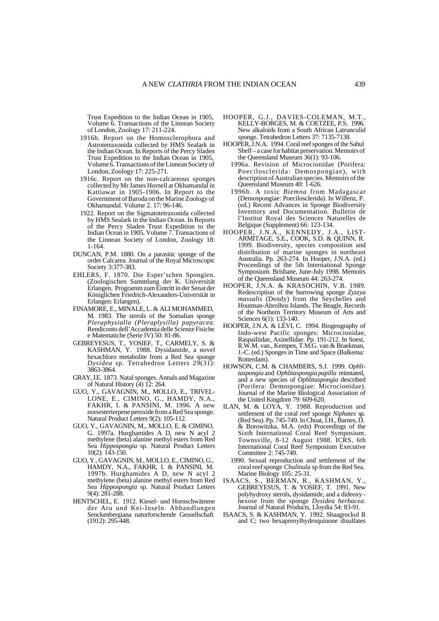Trust Expedition to the Indian Ocean in 1905, Volume  $\ddot{\text{o}}$ . Transactions of the Linnean Society of London, Zoology 17: 211-224.

- 1916b. Report on the Homosclerophora and Astrotetraxonida collected by HMS Sealark in the Indian Ocean. In Reports of the Percy Sladen Trust Expedition to the Indian Ocean in 1905, Volume 6. Transactions of the Linnean Society of London, Zoology 17: 225-271.
- 1916c. Report on the non-calcareous sponges collected by Mr James Hornell at Okhamandal in Kattiawar in 1905-1906. In Report to the Government of Baroda on the Marine Zoology of Okhamandal. Volume 2. 17: 96-146.
- 1922. Report on the Sigmatotetraxonida collected by HMS Sealark in the Indian Ocean. In Reports of the Percy Sladen Trust Expedition to the Indian Ocean in 1905, Volume 7. Transactions of the Linnean Society of London, Zoology 18: 1-164.
- DUNCAN, P.M. 1880. On a parasitic sponge of the order Calcarea. Journal of the Royal Microscopic Society 3:377-383.
- EHLERS, F. 1870. Die Esper'schen Spongien. (Zoologischen Sammlung der K. Universität Erlangen. Programm zum Eintritt in der Senat der Königlichen Friedrich-Alexanders-Universität in Erlangen: Erlangen).
- FINAMORE, E., MINALE, L. & ALI MOHAMMED, M. 1983. The sterols of the Somalian sponge *Pleraphysialla (Pleraplysilla) papyracea.* Rendiconto dell'Accademia delle Scienze Fisiche e Matematiche (Serie IV) 50: 81-86.
- GEBREYESUS, T., YOSIEF, T., CARMELY, S. & KASHMAN, Y. 1988. Dysidamide, a novel hexachloro metabolite from a Red Sea sponge *Dysidea* sp. Tetrahedron Letters 29(31): 3863-3864.
- GRAY, J.E. 1873. Natal sponges. Annals and Magazine of Natural History (4) 12: 264.
- GUO, Y., GAVAGNIN, M., MOLLO, E., TRIVEL-LONE, E., CIMINO, G., HAMDY, N.A., FAKHR, I. & PANSINI, M. 1996. A new norsesterterpene peroxide from a Red Sea sponge. Natural Product Letters 9(2): 105-112.
- GUO, Y., GAVAGNIN, M., MOLLO, E. & CIMINO, G. 1997a. Hurghamides A D, new N acyl 2 methylene (beta) alanine methyl esters from Red Sea *Hippospongia* sp. Natural Product Letters 10(2): 143-150.
- GUO, Y., GAVAGNIN, M., MOLLO, E., CIMINO, G., HAMDY, N.A., FAKHR, I. & PANSINI, M. 1997b. Hurghamides A D, new N acyl 2 methylene (beta) alanine methyl esters from Red Sea *Hippospongia* sp. Natural Product Letters 9(4): 281-288.
- HENTSCHEL, E. 1912. Kiesel- und Hornschwämme der Aru und Kei-Inseln. Abhandlungen Senckenbergiana naturforschende Gessellschaft (1912): 295-448.
- HOOPER, G.J., DAVIES-COLEMAN, M.T., KELLY-BORGES, M. & COETZEE, P.S. 1996. New alkaloids from a South African Latrunculid sponge. Tetrahedron Letters 37: 7135-7138.
- HOOPER, J.N.A. 1994. Coral reef sponges of the Sahul Shelf – a case for habitat preservation. Memoirs of the Queensland Museum 36(1): 93-106.
	- 1996a. Revision of Microcionidae (Porifera: Poecilosclerida: Demospongiae), with description of Australian species. Memoirs of the Queensland Museum 40: 1-626.
	- 1996b. A toxic *Biemna* from Madagascar (Demospongiae: Poecilosclerida). In Willenz, P. (ed.) Recent Advances in Sponge Biodiversity Inventory and Documentation. Bulletin de l'Institut Royal des Sciences Naturelles de Belgique (Supplement) 66: 123-134.
- HOOPER, J.N.A., KENNEDY, J.A., LIST- ARMITAGE, S.E., COOK, S.D. & QUINN, R. 1999. Biodiversity, species composition and distribution of marine sponges in northeast Australia. Pp. 263-274. In Hooper, J.N.A. (ed.) Proceedings of the 5th International Sponge Symposium. Brisbane, June-July 1998. Memoirs of the Queensland Museum 44: 263-274.
- HOOPER, J.N.A. & KRASOCHIN, V.B. 1989. Redescription of the burrowing sponge *Zyzzya massalis* (Dendy) from the Seychelles and Houtman-Abrolhos Islands. The Beagle, Records of the Northern Territory Museum of Arts and Sciences 6(1): 133-140.
- HOOPER, J.N.A. & LÉVI, C. 1994. Biogeography of Indo-west Pacific sponges: Microcionidae, Raspailiidae, Axinellidae. Pp. 191-212. In Soest, R.W.M. van., Kempen, T.M.G. van & Braekman, J.-C. (ed.) Sponges in Time and Space (Balkema: Rotterdam).
- HOWSON, C.M. & CHAMBERS, S.J. 1999. *Ophli taspongia* and *Ophlitaspongia papilla* reinstated, and a new species of *Ophlitaspongia* described (Porifera: Demospongiae: Microcionidae). Journal of the Marine Biological Association of the United Kingdom 79: 609-620.
- ILAN, M. & LOYA, Y. 1988. Reproduction and settlement of the coral reef sponge *Niphates* sp. (Red Sea). Pp. 745-749. In Choat, J.H., Barnes, D. & Borowitzka, M.A. (eds) Proceedings of the Sixth International Coral Reef Symposium. Townsville, 8-12 August 1988. ICRS, 6th International Coral Reef Symposium Executive Committee 2: 745-749.
	- 1990. Sexual reproduction and settlement of the coral reef sponge *Chalinula* sp from the Red Sea. Marine Biology 105: 25-31.
- ISAACS, S., BERMAN, R., KASHMAN, Y., GEBREYESUS, T. & YOSIEF, T. 1991. New polyhydroxy sterols, dysidamide, and a dideoxy hexose from the sponge *Dysidea herbacea.* Journal of Natural Products, Lloydia 54: 83-91.
- ISAACS, S. & KASHMAN, Y. 1992. Shaagrockol B and C; two hexaprenylhydroquinone disulfates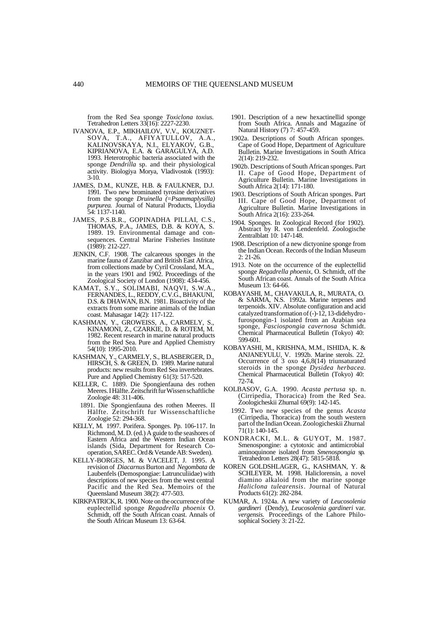from the Red Sea sponge *Toxiclona toxius.* Tetrahedron Letters 33(16): 2227-2230.

- IVANOVA, E.P., MIKHAILOV, V.V., KOUZNET-SOVA, T.A., AFIYATULLOV, A.A., KALINOVSKAYA, N.I., ELYAKOV, G.B., KIPRIANOVA, E.A. & GARAGULYA, A.D. 1993. Heterotrophic bacteria associated with the sponge *Dendrilla* sp. and their physiological activity. Biologiya Morya, Vladivostok (1993): 3-10.
- JAMES, D.M., KUNZE, H.B. & FAULKNER, D.J. 1991. Two new brominated tyrosine derivatives from the sponge *Druinella (*=*Psammaplysilla) purpurea.* Journal of Natural Products, Lloydia 54: 1137-1140.
- JAMES, P.S.B.R., GOPINADHA PILLAI, C.S., THOMAS, P.A., JAMES, D.B. & KOYA, S. 1989. 19. Environmental damage and consequences. Central Marine Fisheries Institute (1989): 212-227.
- JENKIN, C.F. 1908. The calcareous sponges in the marine fauna of Zanzibar and British East Africa, from collections made by Cyril Crossland, M.A., in the years 1901 and 1902. Proceedings of the Zoological Society of London (1908): 434-456.
- KAMAT, S.Y., SOLIMABI, NAQVI, S.W.A., FERNANDES, L., REDDY, C.V.G., BHAKUNI, D.S. & DHAWAN, B.N. 1981. Bioactivity of the extracts from some marine animals of the Indian coast. Mahasagar 14(2): 117-122.
- KASHMAN, Y., GROWEISS, A., CARMELY, S., KINAMONI, Z., CZARKIE, D. & ROTEM, M. 1982. Recent research in marine natural products from the Red Sea. Pure and Applied Chemistry 54(10): 1995-2010.
- KASHMAN, Y., CARMELY, S., BLASBERGER, D., HIRSCH, S. & GREEN, D. 1989. Marine natural products: new results from Red Sea invertebrates. Pure and Applied Chemistry 61(3): 517-520.
- KELLER, C. 1889. Die Spongienfauna des rothen Meeres. I Hälfte. Zeitschrift fur Wissen schaftliche Zoologie 48: 311-406.
- 1891. Die Spongienfauna des rothen Meeres. II Hälfte. Zeitschrift fur Wissenschaftliche Zoologie 52: 294-368.
- KELLY, M. 1997. Porifera. Sponges. Pp. 106-117. In Richmond, M. D. (ed.) A guide to the seashores of Eastern Africa and the Western Indian Ocean islands (Sida, Department for Research Cooperation, SAREC. Ord & Vetande AB: Sweden).
- KELLY-BORGES, M. & VACELET, J. 1995. A revision of *Diacarnus* Burton and *Negombata* de Laubenfels (Demospongiae: Latrunculiidae) with descriptions of new species from the west central Pacific and the Red Sea. Memoirs of the Queensland Museum 38(2): 477-503.
- KIRKPATRICK, R. 1900. Note on the occurrence of the euplectellid sponge *Regadrella phoenix* O. Schmidt, off the South African coast. Annals of the South African Museum 13: 63-64.
- 1901. Description of a new hexactinellid sponge from South Africa. Annals and Magazine of Natural History (7) 7: 457-459.
- 1902a. Descriptions of South African sponges. Cape of Good Hope, Department of Agriculture Bulletin. Marine Investigations in South Africa 2(14): 219-232.
- 1902b. Descriptions of South African sponges. Part II. Cape of Good Hope, Department of Agriculture Bulletin. Marine Investigations in South Africa 2(14): 171-180.
- 1903. Descriptions of South African sponges. Part III. Cape of Good Hope, Department of Agriculture Bulletin. Marine Investigations in South Africa 2(16): 233-264.
- 1904. Sponges. In Zoological Record (for 1902). Abstract by R. von Lendenfeld. Zoologische Zentralblatt 10: 147-148.
- 1908. Description of a new dictyonine sponge from the Indian Ocean. Records of the Indian Museum 2: 21-26.
- 1913. Note on the occurrence of the euplectellid sponge *Regadrella phoenix*, O. Schmidt, off the South African coast. Annals of the South Africa Museum 13: 64-66.
- KOBAYASHI, M., CHAVAKULA, R., MURATA, O. & SARMA, N.S. 1992a. Marine terpenes and terpenoids. XIV. Absolute configuration and acid catalyzed transformation of  $(-)$ -12, 13-didehydrofurospongin-1 isolated from an Arabian sea sponge, *Fasciospongia cavernosa* Schmidt. Chemical Pharmaceutical Bulletin (Tokyo) 40: 599-601.
- KOBAYASHI, M., KRISHNA, M.M., ISHIDA, K. & ANJANEYULU, V. 1992b. Marine sterols. 22. Occurrence of 3 oxo 4,6,8(14) triunsaturated steroids in the sponge *Dysidea herbacea.* Chemical Pharmaceutical Bulletin (Tokyo) 40: 72-74.
- KOLBASOV, G.A. 1990. *Acasta pertusa* sp. n. (Cirripedia, Thoracica) from the Red Sea. Zoologicheskii Zhurnal 69(9): 142-145.
- 1992. Two new species of the genus *Acasta* (Cirripedia, Thoracica) from the south western part of the Indian Ocean. Zoologicheskii Zhurnal 71(1): 140-145.
- KONDRACKI, M.L. & GUYOT, M. 1987. Smenospongine: a cytotoxic and antimicrobial aminoquinone isolated from *Smenospongia* sp. Tetrahedron Letters 28(47): 5815-5818.
- KOREN GOLDSHLAGER, G., KASHMAN, Y. & SCHLEYER, M. 1998. Haliclorensin, a novel diamino alkaloid from the marine sponge *Haliclona tulearensis*. Journal of Natural Products 61(2): 282-284.
- KUMAR, A. 1924a. A new variety of *Leucosolenia gardineri* (Dendy), *Leucosolenia gardineri* var*. vergensis.* Proceedings of the Lahore Philosophical Society 3: 21-22.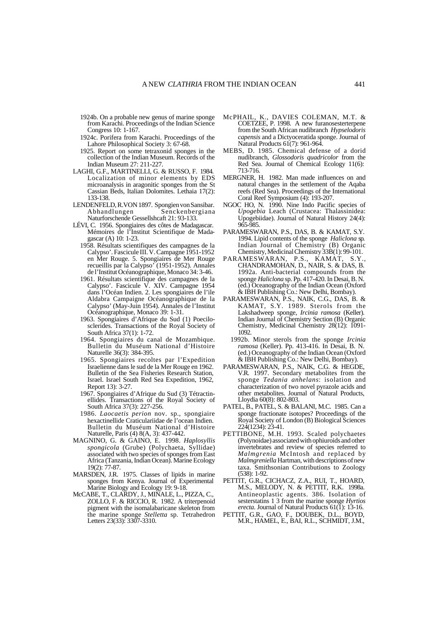- 1924b. On a probable new genus of marine sponge from Karachi. Proceedings of the Indian Science Congress 10: 1-167.
- 1924c. Porifera from Karachi. Proceedings of the Lahore Philosophical Society 3: 67-68.
- 1925. Report on some tetraxonid sponges in the collection of the Indian Museum. Records of the Indian Museum 27: 211-227.
- LAGHI, G.F., MARTINELLI, G. & RUSSO, F. 1984. Localization of minor elements by EDS microanalysis in aragonitic sponges from the St Cassian Beds, Italian Dolomites. Lethaia 17(2): 133-138.
- LENDENFELD, R.VON 1897. Spongien von Sansibar. Senckenbergiana Naturforschende Gessellshcaft 21: 93-133.
- LÉVI, C. 1956. Spongiaires des côtes de Madagascar. Mémoires de l'Institut Scientifique de Madagascar (A) 10: 1-23.
	- 1958. Résultats scientifiques des campagnes de la Calypso'. Fascicule III. V. Campagne 1951-1952 en Mer Rouge. 5. Spongiaires de Mer Rouge recueillis par la Calypso' (1951-1952). Annales de l'Institut Océanographique, Monaco 34: 3-46.
	- 1961. Résultats scientifique des campagnes de la Calypso'. Fascicule V. XIV. Campagne 1954 dans l'Océan Indien. 2. Les spongiaires de l'ile Aldabra Campaigne Océanographique de la Calypso' (May-Juin 1954). Annales de l'Institut Océanographique, Monaco 39: 1-31.
	- 1963. Spongiaires d'Afrique du Sud (1) Poecilosclerides. Transactions of the Royal Society of South Africa 37(1): 1-72.
	- 1964. Spongiaires du canal de Mozambique. Bulletin du Muséum National d'Histoire Naturelle 36(3): 384-395.
	- 1965. Spongiaires recoltes par l'Expedition Israelienne dans le sud de la Mer Rouge en 1962. Bulletin of the Sea Fisheries Research Station, Israel. Israel South Red Sea Expedition, 1962, Report 13): 3-27.
	- 1967. Spongiaires d'Afrique du Sud (3) Tétractinellides. Transactions of the Royal Society of South Africa 37(3): 227-256.
	- 1986. *Laocaetis perion* nov. sp., spongiaire hexactinellide Craticulariidae de l'ocean Indien. Bulletin du Muséum National d'Histoire Naturelle, Paris (4) 8(A, 3): 437-442.
- MAGNINO, G. & GAINO, E. 1998. *Haplosyllis spongicola* (Grube) (Polychaeta, Syllidae) associated with two species of sponges from East Africa (Tanzania, Indian Ocean). Marine Ecology 19(2): 77-87.
- MARSDEN, J.R. 1975. Classes of lipids in marine sponges from Kenya. Journal of Experimental Marine Biology and Ecology 19: 9-18.
- McCABE, T., CLARDY, J., MINALE, L., PIZZA, C., ZOLLO, F. & RICCIO, R. 1982. A triterpenoid pigment with the isomalabaricane skeleton from the marine sponge *Stelletta* sp. Tetrahedron Letters 23(33): 3307-3310.
- McPHAIL, K., DAVIES COLEMAN, M.T. & COETZEE, P. 1998. A new furanosesterterpene from the South African nudibranch *Hypselodoris capensis* and a Dictyoceratida sponge. Journal of Natural Products 61(7): 961-964.
- MEBS, D. 1985. Chemical defense of a dorid nudibranch, *Glossodoris quadricolor* from the Red Sea. Journal of Chemical Ecology 11(6): 713-716.
- MERGNER, H. 1982. Man made influences on and natural changes in the settlement of the Aqaba reefs (Red Sea). Proceedings of the International Coral Reef Symposium (4): 193-207.
- NGOC HO, N. 1990. Nine Indo Pacific species of *Upogebia* Leach (Crustacea: Thalassinidea: Upogebiidae). Journal of Natural History 24(4):  $065-085$
- PARAMESWARAN, P.S., DAS, B. & KAMAT, S.Y. 1994. Lipid contents of the sponge *Haliclona* sp. Indian Journal of Chemistry (B) Organic Chemistry, Medicinal Chemistry 33B(1): 99-101.
- PARAMESWARAN, P.S., KAMAT, S.Y., CHANDRAMOHAN, D., NAIR, S. & DAS, B. 1992a. Anti-bacterial compounds from the sponge *Haliclona* sp. Pp. 417-420. In Desai, B. N. (ed.) Oceanography of the Indian Ocean (Oxford & IBH Publishing Co.: New Delhi, Bombay).
- PARAMESWARAN, P.S., NAIK, C.G., DAS, B. & KAMAT, S.Y. 1989. Sterols from the Lakshadweep sponge, *Ircinia ramosa* (Keller). Indian Journal of Chemistry Section (B) Organic Chemistry, Medicinal Chemistry 28(12): 1091- 1092.
- 1992b. Minor sterols from the sponge *Ircinia ramosa* (Keller). Pp. 413-416. In Desai, B. N. (ed.) Oceanography of the Indian Ocean (Oxford & IBH Publishing Co.: New Delhi, Bombay).
- PARAMESWARAN, P.S., NAIK, C.G. & HEGDE, V.R. 1997. Secondary metabolites from the sponge *Tedania anhelans*: isolation and characterization of two novel pyrazole acids and other metabolites. Journal of Natural Products, Lloydia 60(8): 802-803.
- PATEL, B., PATEL, S. & BALANI, M.C. 1985. Can a sponge fractionate isotopes? Proceedings of the Royal Society of London (B) Biological Sciences 224(1234): 23-41.
- PETTIBONE, M.H. 1993. Scaled polychaetes (Polynoidae) associated with ophiuroids and other invertebrates and review of species referred to *Malmgrenia* McIntosh and replaced by *Malmgreniella* Hartman, with descriptions of new taxa. Smithsonian Contributions to Zoology (538): 1-92.
- PETTIT, G.R., CICHACZ, Z.A., RUI, T., HOARD, M.S., MELODY, N. & PETTIT, R.K. 1998a. Antineoplastic agents. 386. Isolation of sesterstatins 1 3 from the marine sponge *Hyrtios erecta*. Journal of Natural Products 61(1): 13-16.
- PETTIT, G.R., GAO, F., DOUBEK, D.L., BOYD, M.R., HAMEL, E., BAI, R.L., SCHMIDT, J.M.,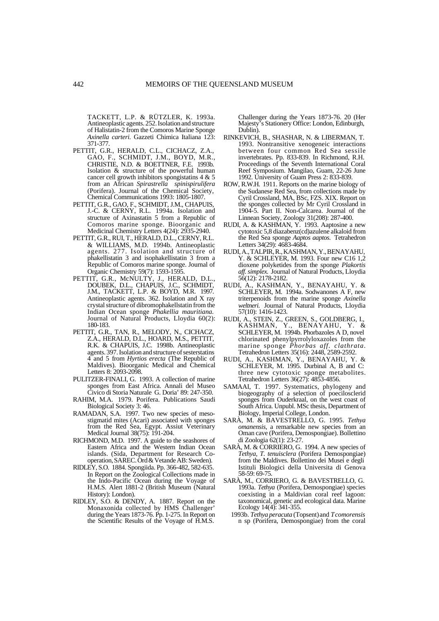TACKETT, L.P. & RÜTZLER, K. 1993a. Antineoplastic agents. 252. Isolation and structure of Halistatin-2 from the Comoros Marine Sponge *Axinella carteri.* Gazzeti Chimica Italiana 123: 371-377.

- PETTIT, G.R., HERALD, C.L., CICHACZ, Z.A., GAO, F., SCHMIDT, J.M., BOYD, M.R., CHRISTIE, N.D. & BOETTNER, F.E. 1993b. Isolation & structure of the powerful human cancer cell growth inhibitors spongistatins 4 & 5 from an African *Spirastrella spinispirulifera* (Porifera). Journal of the Chemical Society, Chemical Communications 1993: 1805-1807.
- PETTIT, G.R., GAO, F., SCHMIDT, J.M., CHAPUIS, J.-C. & CERNY, R.L. 1994a. Isolation and structure of Axinastatin 5 from a Republic of Comoros marine sponge. Bioorganic and Medicinal Chemistry Letters 4(24): 2935-2940.
- PETTIT, G.R., RUI, T., HERALD, D.L., CERNY, R.L. & WILLIAMS, M.D. 1994b. Antineoplastic agents. 277. Isolation and structure of phakellistatin 3 and isophakellistatin 3 from a Republic of Comoros marine sponge. Journal of Organic Chemistry 59(7): 1593-1595.
- PETTIT, G.R., McNULTY, J., HERALD, D.L., DOUBEK, D.L., CHAPUIS, J.C., SCHMIDT, J.M., TACKETT, L.P. & BOYD, M.R. 1997. Antineoplastic agents. 362. Isolation and X ray crystal structure of dibromophakellstatin from the Indian Ocean sponge *Phakellia mauritiana.* Journal of Natural Products, Lloydia 60(2): 180-183.
- PETTIT, G.R., TAN, R., MELODY, N., CICHACZ, Z.A., HERALD, D.L., HOARD, M.S., PETTIT, R.K. & CHAPUIS, J.C. 1998b. Antineoplastic agents. 397. Isolation and structure of sesterstatins 4 and 5 from *Hyrtios erecta* (The Republic of Maldives). Bioorganic Medical and Chemical Letters 8: 2093-2098.
- PULITZER-FINALI, G. 1993. A collection of marine sponges from East Africa. Annali del Museo Civico di Storia Naturale G. Doria' 89: 247-350.
- RAHIM, M.A. 1979. Porifera. Publications Saudi Biological Society 3: 46.
- RAMADAN, S.A. 1997. Two new species of mesostigmatid mites (Acari) associated with sponges from the Red Sea, Egypt. Assiut Veterinary Medical Journal 38(75): 191-204.
- RICHMOND, M.D. 1997. A guide to the seashores of Eastern Africa and the Western Indian Ocean islands. (Sida, Department for Research Cooperation, SAREC. Ord & Vetande AB: Sweden).
- RIDLEY, S.O. 1884. Spongiida. Pp. 366-482, 582-635. In Report on the Zoological Collections made in the Indo-Pacific Ocean during the Voyage of H.M.S. Alert 1881-2 (British Museum (Natural History): London).
- RIDLEY, S.O. & DENDY, A. 1887. Report on the Monaxonida collected by HMS Challenger' during the Years 1873-76. Pp. 1-275. In Report on the Scientific Results of the Voyage of H.M.S.

Challenger during the Years 1873-76. 20 (Her Majesty's Stationery Office: London, Edinburgh, Dublin).

- RINKEVICH, B., SHASHAR, N. & LIBERMAN, T. 1993. Nontransitive xenogeneic interactions between four common Red Sea sessile invertebrates. Pp. 833-839. In Richmond, R.H. Proceedings of the Seventh International Coral Reef Symposium. Mangilao, Guam, 22-26 June 1992. University of Guam Press 2: 833-839.
- ROW, R.W.H. 1911. Reports on the marine biology of the Sudanese Red Sea, from collections made by Cyril Crossland, MA, BSc, FZS. XIX. Report on the sponges collected by Mr Cyril Crossland in 1904-5. Part II. Non-Calcarea. Journal of the Linnean Society, Zoology 31(208): 287-400.
- RUDI, A. & KASHMAN, Y. 1993. Aaptosine a new cytotoxic 5,8 diazabenz(cd)azulene alkaloid from the Red Sea sponge *Aaptos aaptos.* Tetrahedron Letters 34(29): 4683-4684.
- RUDI, A., TALPIR, R., KASHMAN, Y., BENAYAHU, Y. & SCHLEYER, M. 1993. Four new C16 1,2 dioxene polyketides from the sponge *Plakortis aff. simplex.* Journal of Natural Products, Lloydia 56(12): 2178-2182.
- RUDI, A., KASHMAN, Y., BENAYAHU, Y. & SCHLEYER, M. 1994a. Sodwanones A F, new triterpenoids from the marine sponge *Axinella weltneri.* Journal of Natural Products, Lloydia 57(10): 1416-1423.
- RUDI, A., STEIN, Z., GREEN, S., GOLDBERG, I., KASHMAN, Y., BENAYAHU, Y. & SCHLEYER, M. 1994b. Phorbazoles A D, novel chlorinated phenylpyrrolyloxazoles from the marine sponge *Phorbas aff. clathrata.* Tetrahedron Letters 35(16): 2448, 2589-2592.
- RUDI, A., KASHMAN, Y., BENAYAHU, Y. & SCHLEYER, M. 1995. Durbinal A, B and C: three new cytotoxic sponge metabolites. Tetrahedron Letters 36(27): 4853-4856.
- SAMAAI, T. 1997. Systematics, phylogeny and biogeography of a selection of poecilosclerid sponges from Ouderkraal, on the west coast of South Africa. Unpubl. MSc thesis, Department of Biology, Imperial College, London.
- SARÀ, M. & BAVESTRELLO, G. 1995. *Tethya omanensis*, a remarkable new species from an Oman cave (Porifera, Demospongiae). Bollettino di Zoologia 62(1): 23-27.
- SARÀ, M. & CORRIERO, G. 1994. A new species of *Tethya, T. tenuisclera* (Porifera Demospongiae) from the Maldives. Bollettino dei Musei e degli Istituli Biologici della Universita di Genova 58-59: 69-75.
- SARÀ, M., CORRIERO, G. & BAVESTRELLO, G. 1993a. *Tethya* (Porifera, Demospongiae) species coexisting in a Maldivian coral reef lagoon: taxonomical, genetic and ecological data. Marine Ecology 14(4): 341-355.
	- 1993b. *Tethya peracuta* (Topsent) and *T comorensis*  n sp (Porifera, Demospongiae) from the coral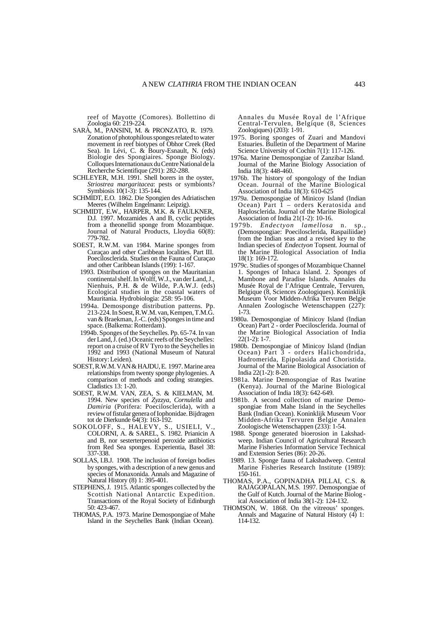reef of Mayotte (Comores). Bollettino di Zoologia 60: 219-224.

- SARÀ, M., PANSINI, M. & PRONZATO, R. 1979. Zonation of photophilous sponges related to water movement in reef biotypes of Obhor Creek (Red Sea). In Lévi, C. & Boury-Esnault, N. (eds) Biologie des Spongiaires. Sponge Biology. Colloques Internationaux du Centre National de la Recherche Scientifique (291): 282-288.
- SCHLEYER, M.H. 1991. Shell borers in the oyster, *Striostrea margaritacea*: pests or symbionts? Symbiosis 10(1-3): 135-144.
- SCHMIDT, E.O. 1862. Die Spongien des Adriatischen Meeres (Wilhelm Engelmann: Leipzig).
- SCHMIDT, E.W., HARPER, M.K. & FAULKNER, D.J. 1997. Mozamides A and B, cyclic peptides from a theonellid sponge from Mozambique. Journal of Natural Products, Lloydia 60(8): 779-782.
- SOEST, R.W.M. van 1984. Marine sponges from Curaçao and other Caribbean localities. Part III. Poecilosclerida. Studies on the Fauna of Curaçao and other Caribbean Islands (199): 1-167.
	- 1993. Distribution of sponges on the Mauritanian continental shelf. In Wolff, W.J., van der Land, J., Nienhuis, P.H. & de Wilde, P.A.W.J. (eds) Ecological studies in the coastal waters of Mauritania. Hydrobiologia: 258: 95-106.
	- 1994a. Demosponge distribution patterns. Pp.  $213-224$ . In Soest, R.W.M. van, Kempen, T.M.G. van & Braekman, J.-C. (eds) Sponges in time and space. (Balkema: Rotterdam).
	- 1994b. Sponges of the Seychelles. Pp. 65-74. In van der Land, J. (ed.) Oceanic reefs of the Seychelles: report on a cruise of RV Tyro to the Seychelles in 1992 and 1993 (National Museum of Natural History: Leiden).
- SOEST, R.W.M. VAN & HAJDU, E. 1997. Marine area relationships from twenty sponge phylogenies. A comparison of methods and coding strategies. Cladistics 13: 1-20.
- SOEST, R.W.M. VAN, ZEA, S. & KIELMAN, M. 1994. New species of *Zyzzya, Cornulella* and *Damiria* (Porifera: Poecilosclerida), with a review of fistular genera of Iophonidae. Bijdragen tot de Dierkunde 64(3): 163-192.
- SOKOLOFF, S., HALEVY, S., USIELI, V., COLORNI, A. & SAREL, S. 1982. Prianicin A and B, nor sesterterpenoid peroxide antibiotics from Red Sea sponges. Experientia, Basel 38: 337-338.
- SOLLAS, I.B.J. 1908. The inclusion of foreign bodies by sponges, with a description of a new genus and species of Monaxonida. Annals and Magazine of Natural History (8) 1: 395-401.
- STEPHENS, J. 1915. Atlantic sponges collected by the Scottish National Antarctic Expedition. Transactions of the Royal Society of Edinburgh 50: 423-467.
- THOMAS, P.A. 1973. Marine Demospongiae of Mahe Island in the Seychelles Bank (Indian Ocean).

Annales du Musée Royal de l'Afrique Central-Tervulen, Belgique (8, Sciences Zoologiques) (203): 1-91.

- 1975. Boring sponges of Zuari and Mandovi Estuaries. Bulletin of the Department of Marine Science University of Cochin 7(1): 117-126.
- 1976a. Marine Demospongiae of Zanzibar Island. Journal of the Marine Biology Association of India 18(3): 448-460.
- 1976b. The history of spongology of the Indian Ocean. Journal of the Marine Biological Association of India 18(3): 610-625
- 1979a. Demospongiae of Minicoy Island (Indian Ocean) Part  $\tilde{1}$  – orders Keratosida and Haplosclerida. Journal of the Marine Biological Association of India 21(1-2): 10-16.
- 1979b. *Endectyon lamellosa* n. sp., (Demospongiae: Poecilosclerida, Raspailiidae) from the Indian seas and a revised key to the Indian species of *Endectyon* Topsent. Journal of the Marine Biological Association of India 18(1): 169-172.
- 1979c. Studies of sponges of Mozambique Channel 1. Sponges of Inhaca Island. 2. Sponges of Mambone and Paradise Islands. Annales du Musée Royal de l'Afrique Centrale, Tervuren, Belgique (8, Sciences Zoologiques). Koninklijk Museum Voor Midden-Afrika Tervuren Belgie Annalen Zoologische Wetenschappen (227): 1-73.
- 1980a. Demospongiae of Minicoy Island (Indian Ocean) Part 2 - order Poecilosclerida. Journal of the Marine Biological Association of India 22(1-2): 1-7.
- 1980b. Demospongiae of Minicoy Island (Indian Ocean) Part 3 - orders Halichondrida, Hadromerida, Epipolasida and Choristida. Journal of the Marine Biological Association of India 22(1-2): 8-20.
- 1981a. Marine Demospongiae of Ras Iwatine (Kenya). Journal of the Marine Biological Association of India 18(3): 642-649.
- 1981b. A second collection of marine Demospongiae from Mahe Island in the Seychelles Bank (Indian Ocean). Koninklijk Museum Voor Midden-Afrika Tervuren Belgie Annalen Zoologische Wetenschappen (233): 1-54.
- 1988. Sponge generated bioerosion in Lakshadweep. Indian Council of Agricultural Research Marine Fisheries Information Service Technical and Extension Series (86): 20-26.
- 1989. 13. Sponge fauna of Lakshadweep. Central Marine Fisheries Research Institute (1989): 150-161.
- THOMAS, P.A., GOPINADHA PILLAI, C.S. & RAJAGOPALAN, M.S. 1997. Demospongiae of the Gulf of Kutch. Journal of the Marine Biolog ical Association of India 38(1-2): 124-132.
- THOMSON, W. 1868. On the vitreous' sponges. Annals and Magazine of Natural History (4) 1: 114-132.